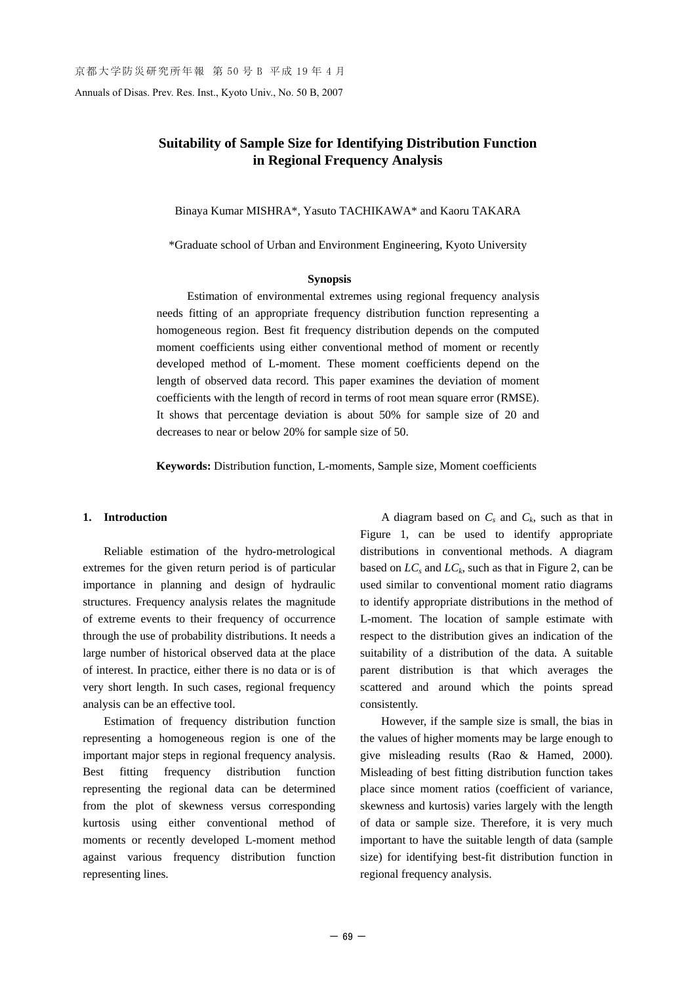Annuals of Disas. Prev. Res. Inst., Kyoto Univ., No. 50 B, 2007

# **Suitability of Sample Size for Identifying Distribution Function in Regional Frequency Analysis**

Binaya Kumar MISHRA\*, Yasuto TACHIKAWA\* and Kaoru TAKARA

\*Graduate school of Urban and Environment Engineering, Kyoto University

#### **Synopsis**

Estimation of environmental extremes using regional frequency analysis needs fitting of an appropriate frequency distribution function representing a homogeneous region. Best fit frequency distribution depends on the computed moment coefficients using either conventional method of moment or recently developed method of L-moment. These moment coefficients depend on the length of observed data record. This paper examines the deviation of moment coefficients with the length of record in terms of root mean square error (RMSE). It shows that percentage deviation is about 50% for sample size of 20 and decreases to near or below 20% for sample size of 50.

**Keywords:** Distribution function, L-moments, Sample size, Moment coefficients

#### **1. Introduction**

Reliable estimation of the hydro-metrological extremes for the given return period is of particular importance in planning and design of hydraulic structures. Frequency analysis relates the magnitude of extreme events to their frequency of occurrence through the use of probability distributions. It needs a large number of historical observed data at the place of interest. In practice, either there is no data or is of very short length. In such cases, regional frequency analysis can be an effective tool.

Estimation of frequency distribution function representing a homogeneous region is one of the important major steps in regional frequency analysis. Best fitting frequency distribution function representing the regional data can be determined from the plot of skewness versus corresponding kurtosis using either conventional method of moments or recently developed L-moment method against various frequency distribution function representing lines.

A diagram based on  $C_s$  and  $C_k$ , such as that in Figure 1, can be used to identify appropriate distributions in conventional methods. A diagram based on  $LC_s$  and  $LC_k$ , such as that in Figure 2, can be used similar to conventional moment ratio diagrams to identify appropriate distributions in the method of L-moment. The location of sample estimate with respect to the distribution gives an indication of the suitability of a distribution of the data. A suitable parent distribution is that which averages the scattered and around which the points spread consistently.

However, if the sample size is small, the bias in the values of higher moments may be large enough to give misleading results (Rao & Hamed, 2000). Misleading of best fitting distribution function takes place since moment ratios (coefficient of variance, skewness and kurtosis) varies largely with the length of data or sample size. Therefore, it is very much important to have the suitable length of data (sample size) for identifying best-fit distribution function in regional frequency analysis.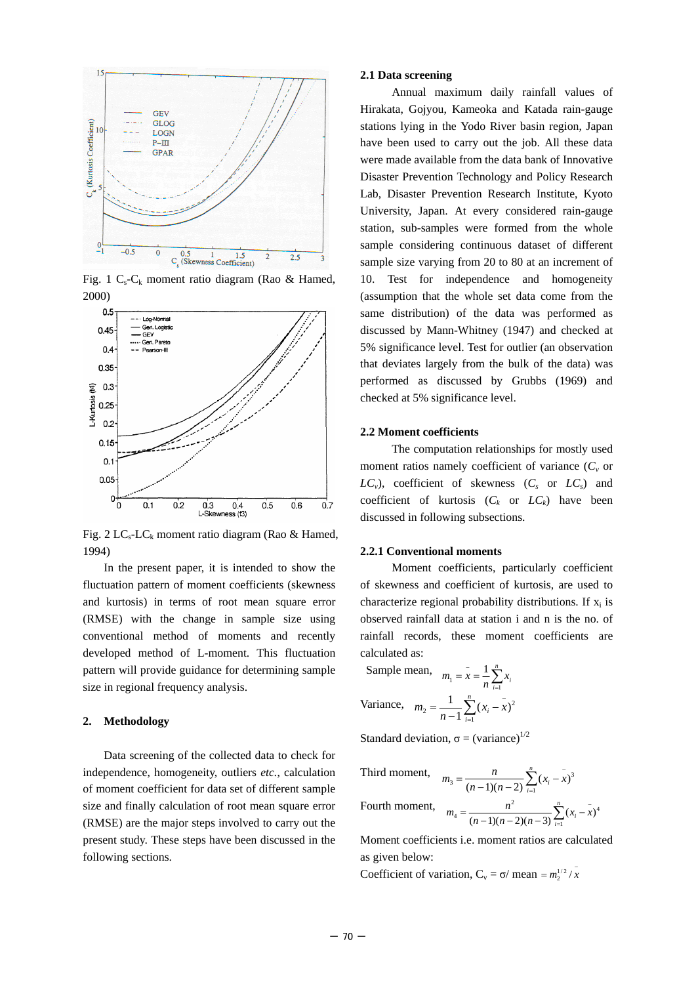

Fig. 1  $C_s$ - $C_k$  moment ratio diagram (Rao & Hamed, 2000)



Fig. 2 LC<sub>s</sub>-LC<sub>k</sub> moment ratio diagram (Rao & Hamed, 1994)

In the present paper, it is intended to show the fluctuation pattern of moment coefficients (skewness and kurtosis) in terms of root mean square error (RMSE) with the change in sample size using conventional method of moments and recently developed method of L-moment. This fluctuation pattern will provide guidance for determining sample size in regional frequency analysis.

### **2. Methodology**

Data screening of the collected data to check for independence, homogeneity, outliers *etc.*, calculation of moment coefficient for data set of different sample size and finally calculation of root mean square error (RMSE) are the major steps involved to carry out the present study. These steps have been discussed in the following sections.

#### **2.1 Data screening**

Annual maximum daily rainfall values of Hirakata, Gojyou, Kameoka and Katada rain-gauge stations lying in the Yodo River basin region, Japan have been used to carry out the job. All these data were made available from the data bank of Innovative Disaster Prevention Technology and Policy Research Lab, Disaster Prevention Research Institute, Kyoto University, Japan. At every considered rain-gauge station, sub-samples were formed from the whole sample considering continuous dataset of different sample size varying from 20 to 80 at an increment of 10. Test for independence and homogeneity (assumption that the whole set data come from the same distribution) of the data was performed as discussed by Mann-Whitney (1947) and checked at 5% significance level. Test for outlier (an observation that deviates largely from the bulk of the data) was performed as discussed by Grubbs (1969) and checked at 5% significance level.

#### **2.2 Moment coefficients**

The computation relationships for mostly used moment ratios namely coefficient of variance  $(C_v)$  or  $LC_v$ , coefficient of skewness  $(C_s$  or  $LC_s$  and coefficient of kurtosis  $(C_k$  or  $LC_k$ ) have been discussed in following subsections.

#### **2.2.1 Conventional moments**

Moment coefficients, particularly coefficient of skewness and coefficient of kurtosis, are used to characterize regional probability distributions. If  $x_i$  is observed rainfall data at station i and n is the no. of rainfall records, these moment coefficients are calculated as:

Sample mean, 
$$
m_1 = \bar{x} = \frac{1}{n} \sum_{i=1}^{n} x_i
$$
  
Variance,  $m_2 = \frac{1}{n-1} \sum_{i=1}^{n} (x_i - \bar{x})^2$ 

Standard deviation,  $\sigma = (variance)^{1/2}$ 

Third moment, 
$$
m_3 = \frac{n}{(n-1)(n-2)} \sum_{i=1}^{n} (x_i - x_i)^3
$$

Fourth moment, 
$$
m_4 = \frac{n^2}{(n-1)(n-2)(n-3)} \sum_{i=1}^{n} (x_i - x)^4
$$

Moment coefficients i.e. moment ratios are calculated as given below:

Coefficient of variation,  $C_v = \sigma / \text{ mean } = m_2^{1/2} / \sqrt{x}$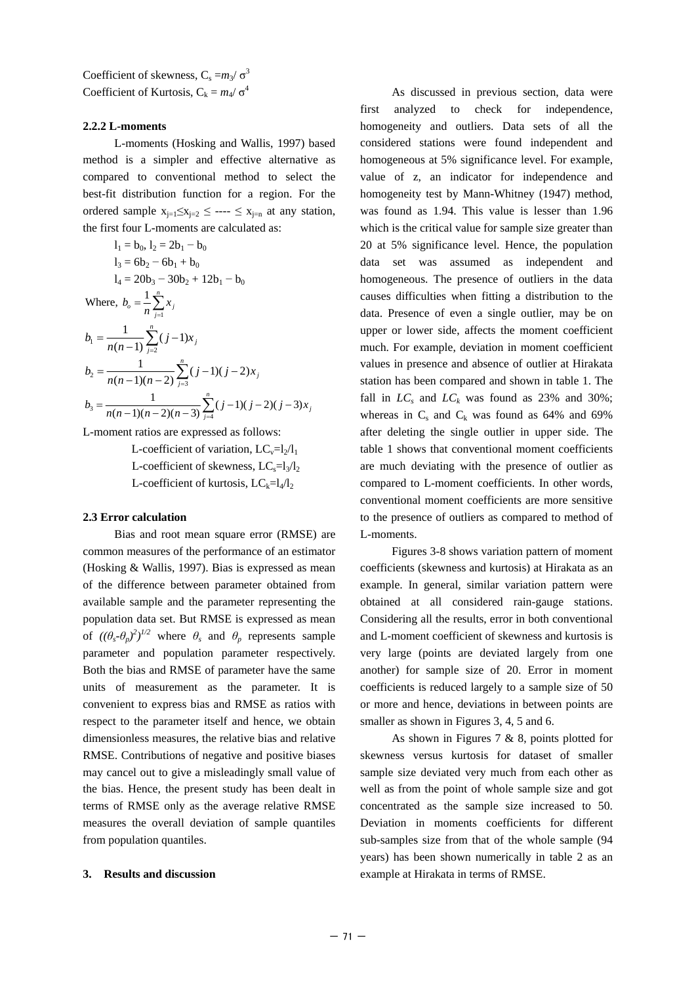Coefficient of skewness,  $C_s = m_3/\sigma^3$ Coefficient of Kurtosis,  $C_k = m_4 / \sigma^4$ 

#### **2.2.2 L-moments**

L-moments (Hosking and Wallis, 1997) based method is a simpler and effective alternative as compared to conventional method to select the best-fit distribution function for a region. For the ordered sample  $x_{i=1} \leq x_{i=2} \leq \cdots \leq x_{i=n}$  at any station, the first four L-moments are calculated as:

$$
l_1 = b_0, l_2 = 2b_1 - b_0
$$
  
\n
$$
l_3 = 6b_2 - 6b_1 + b_0
$$
  
\n
$$
l_4 = 20b_3 - 30b_2 + 12b_1 - b_0
$$
  
\nWhere,  $b_o = \frac{1}{n} \sum_{j=1}^{n} x_j$   
\n
$$
b_1 = \frac{1}{n(n-1)} \sum_{j=2}^{n} (j-1)x_j
$$
  
\n
$$
b_2 = \frac{1}{n(n-1)(n-2)} \sum_{j=3}^{n} (j-1)(j-2)x_j
$$
  
\n
$$
b_3 = \frac{1}{n(n-1)(n-2)(n-3)} \sum_{j=4}^{n} (j-1)(j-2)(j-3)x_j
$$

L-moment ratios are expressed as follows:

L-coefficient of variation,  $LC_v=l_2/l_1$ L-coefficient of skewness,  $LC_s=1/l_2$ L-coefficient of kurtosis,  $LC_k=l_4/l_2$ 

#### **2.3 Error calculation**

Bias and root mean square error (RMSE) are common measures of the performance of an estimator (Hosking & Wallis, 1997). Bias is expressed as mean of the difference between parameter obtained from available sample and the parameter representing the population data set. But RMSE is expressed as mean of  $((\theta_s - \theta_p)^2)^{1/2}$  where  $\theta_s$  and  $\theta_p$  represents sample parameter and population parameter respectively. Both the bias and RMSE of parameter have the same units of measurement as the parameter. It is convenient to express bias and RMSE as ratios with respect to the parameter itself and hence, we obtain dimensionless measures, the relative bias and relative RMSE. Contributions of negative and positive biases may cancel out to give a misleadingly small value of the bias. Hence, the present study has been dealt in terms of RMSE only as the average relative RMSE measures the overall deviation of sample quantiles from population quantiles.

### **3. Results and discussion**

As discussed in previous section, data were first analyzed to check for independence, homogeneity and outliers. Data sets of all the considered stations were found independent and homogeneous at 5% significance level. For example, value of z, an indicator for independence and homogeneity test by Mann-Whitney (1947) method, was found as 1.94. This value is lesser than 1.96 which is the critical value for sample size greater than 20 at 5% significance level. Hence, the population data set was assumed as independent and homogeneous. The presence of outliers in the data causes difficulties when fitting a distribution to the data. Presence of even a single outlier, may be on upper or lower side, affects the moment coefficient much. For example, deviation in moment coefficient values in presence and absence of outlier at Hirakata station has been compared and shown in table 1. The fall in  $LC_s$  and  $LC_k$  was found as 23% and 30%; whereas in  $C_s$  and  $C_k$  was found as 64% and 69% after deleting the single outlier in upper side. The table 1 shows that conventional moment coefficients are much deviating with the presence of outlier as compared to L-moment coefficients. In other words, conventional moment coefficients are more sensitive to the presence of outliers as compared to method of L-moments.

Figures 3-8 shows variation pattern of moment coefficients (skewness and kurtosis) at Hirakata as an example. In general, similar variation pattern were obtained at all considered rain-gauge stations. Considering all the results, error in both conventional and L-moment coefficient of skewness and kurtosis is very large (points are deviated largely from one another) for sample size of 20. Error in moment coefficients is reduced largely to a sample size of 50 or more and hence, deviations in between points are smaller as shown in Figures 3, 4, 5 and 6.

As shown in Figures 7 & 8, points plotted for skewness versus kurtosis for dataset of smaller sample size deviated very much from each other as well as from the point of whole sample size and got concentrated as the sample size increased to 50. Deviation in moments coefficients for different sub-samples size from that of the whole sample (94 years) has been shown numerically in table 2 as an example at Hirakata in terms of RMSE.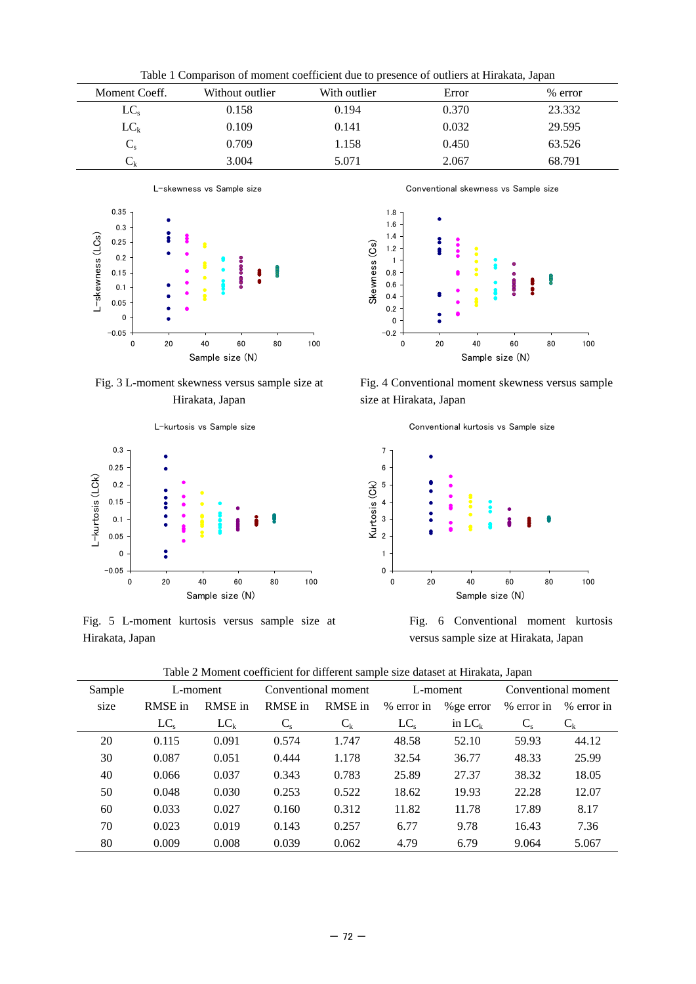| Table 1 Comparison of moment coefficient due to presence of outliers at Hirakata, Japan |                 |              |       |           |  |  |  |  |  |
|-----------------------------------------------------------------------------------------|-----------------|--------------|-------|-----------|--|--|--|--|--|
| Moment Coeff.                                                                           | Without outlier | With outlier | Error | $%$ error |  |  |  |  |  |
| $LC_{s}$                                                                                | 0.158           | 0.194        | 0.370 | 23.332    |  |  |  |  |  |
| $LC_k$                                                                                  | 0.109           | 0.141        | 0.032 | 29.595    |  |  |  |  |  |
|                                                                                         | 0.709           | 1.158        | 0.450 | 63.526    |  |  |  |  |  |
| $\mathsf{L}_{\mathsf{k}}$                                                               | 3.004           | 5.071        | 2.067 | 68.791    |  |  |  |  |  |



Fig. 3 L-moment skewness versus sample size at Hirakata, Japan



Fig. 5 L-moment kurtosis versus sample size at Hirakata, Japan

1.8 1.6 1.4 2 Skewness (Cs) Skewness (Cs) 1.2 1 0.8 0.6 0.4 0.2 0  $-0.2$ 0 20 40 60 80 100

Conventional skewness vs Sample size

Fig. 4 Conventional moment skewness versus sample size at Hirakata, Japan

Sample size (N)



Fig. 6 Conventional moment kurtosis versus sample size at Hirakata, Japan

| Table 2 Moment coefficient for different sample size dataset at Hirakata, Japan |  |  |
|---------------------------------------------------------------------------------|--|--|
|---------------------------------------------------------------------------------|--|--|

| <u>- Albinein coemetein for american sample sille aanaset at filmanaa,</u> sapall |          |          |                     |         |            |            |                     |            |  |  |
|-----------------------------------------------------------------------------------|----------|----------|---------------------|---------|------------|------------|---------------------|------------|--|--|
| Sample                                                                            | L-moment |          | Conventional moment |         | L-moment   |            | Conventional moment |            |  |  |
| size                                                                              | RMSE in  | RMSE in  | RMSE in             | RMSE in | % error in | % ge error | % error in          | % error in |  |  |
|                                                                                   | $LC_{s}$ | $LC_{k}$ | $C_{s}$             | $C_{k}$ | $LC_s$     | in $LC_k$  | $C_{\rm s}$         | $C_{k}$    |  |  |
| 20                                                                                | 0.115    | 0.091    | 0.574               | 1.747   | 48.58      | 52.10      | 59.93               | 44.12      |  |  |
| 30                                                                                | 0.087    | 0.051    | 0.444               | 1.178   | 32.54      | 36.77      | 48.33               | 25.99      |  |  |
| 40                                                                                | 0.066    | 0.037    | 0.343               | 0.783   | 25.89      | 27.37      | 38.32               | 18.05      |  |  |
| 50                                                                                | 0.048    | 0.030    | 0.253               | 0.522   | 18.62      | 19.93      | 22.28               | 12.07      |  |  |
| 60                                                                                | 0.033    | 0.027    | 0.160               | 0.312   | 11.82      | 11.78      | 17.89               | 8.17       |  |  |
| 70                                                                                | 0.023    | 0.019    | 0.143               | 0.257   | 6.77       | 9.78       | 16.43               | 7.36       |  |  |
| 80                                                                                | 0.009    | 0.008    | 0.039               | 0.062   | 4.79       | 6.79       | 9.064               | 5.067      |  |  |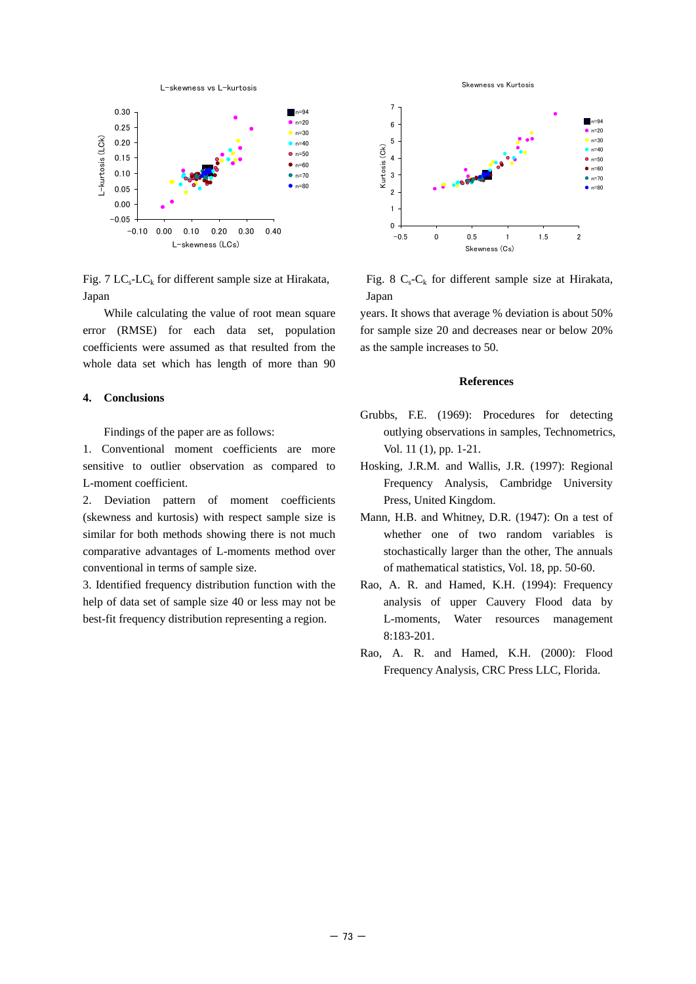

Fig. 7  $LC_s$ -LC<sub>k</sub> for different sample size at Hirakata, Japan

While calculating the value of root mean square error (RMSE) for each data set, population coefficients were assumed as that resulted from the whole data set which has length of more than 90

### **4. Conclusions**

Findings of the paper are as follows:

1. Conventional moment coefficients are more sensitive to outlier observation as compared to L-moment coefficient.

2. Deviation pattern of moment coefficients (skewness and kurtosis) with respect sample size is similar for both methods showing there is not much comparative advantages of L-moments method over conventional in terms of sample size.

3. Identified frequency distribution function with the help of data set of sample size 40 or less may not be best-fit frequency distribution representing a region.





Fig. 8  $C_s$ - $C_k$  for different sample size at Hirakata, Japan

years. It shows that average % deviation is about 50% for sample size 20 and decreases near or below 20% as the sample increases to 50.

### **References**

- Grubbs, F.E. (1969): Procedures for detecting outlying observations in samples, Technometrics, Vol. 11 (1), pp. 1-21.
- Hosking, J.R.M. and Wallis, J.R. (1997): Regional Frequency Analysis, Cambridge University Press, United Kingdom.
- Mann, H.B. and Whitney, D.R. (1947): On a test of whether one of two random variables is stochastically larger than the other, The annuals of mathematical statistics, Vol. 18, pp. 50-60.
- Rao, A. R. and Hamed, K.H. (1994): Frequency analysis of upper Cauvery Flood data by L-moments, Water resources management 8:183-201.
- Rao, A. R. and Hamed, K.H. (2000): Flood Frequency Analysis, CRC Press LLC, Florida.